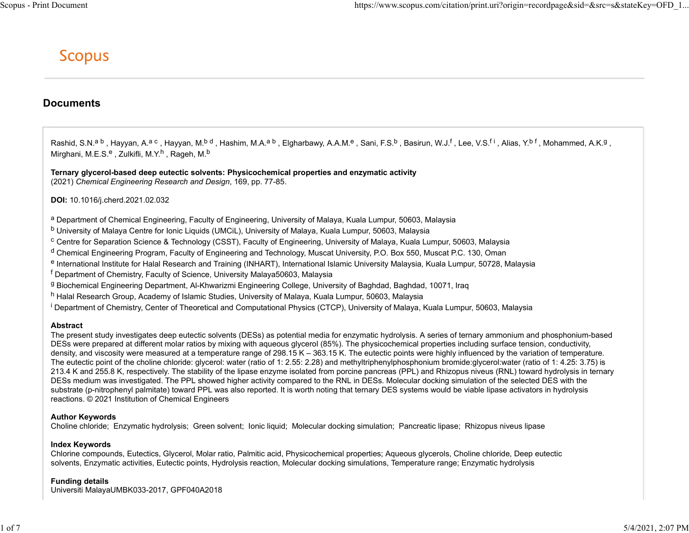# **Documents**

Documents<br>
SCOPUS<br>
COPUS<br>
Rashid, S.N.<sup>a b</sup> , Hayyan, A.<sup>a o</sup> , Hayyan, M.<sup>b d</sup> , Hashim, M.A.<sup>a b</sup> , Elgharbawy, A.A.M.<sup>e</sup> , Sani, F.S.<sup>b</sup> , Basirun, W.J.<sup>f</sup> , Lee, V.S.<sup>f.i</sup> , Alias, Y.<sup>b.f</sup> , Moh<br>
Mirghani, M.E.S.<sup>e</sup> , https://www.scopus.com/citation/print.uri?origin=recordpage&sid=&src=s&stateKey=OFD\_I...<br>
SCODUS<br>
Mashid, S.N.<sup>a.b</sup>, Hayyan, A.<sup>a.c</sup>, Hayyan, M.<sup>b.d</sup>, Hashim, M.A.<sup>a.b</sup>, Eigharbawy, A.A.M.<sup>e</sup>, Sani, F.S.<sup>b</sup>, Basirun, W.J , Zulkifli, M.Y.<sup>h</sup> , Rageh, M.<sup>b</sup>

Ternary glycerol-based deep eutectic solvents: Physicochemical properties and enzymatic activity (2021) Chemical Engineering Research and Design, 169, pp. 77-85.

## DOI: 10.1016/j.cherd.2021.02.032

<sup>a</sup> Department of Chemical Engineering, Faculty of Engineering, University of Malaya, Kuala Lumpur, 50603, Malaysia

- b University of Malaya Centre for Ionic Liquids (UMCiL), University of Malaya, Kuala Lumpur, 50603, Malaysia
- $^{\rm c}$  Centre for Separation Science & Technology (CSST), Faculty of Engineering, University of Malaya, Kuala Lumpur, 50603, Malaysia
- <sup>d</sup> Chemical Engineering Program, Faculty of Engineering and Technology, Muscat University, P.O. Box 550, Muscat P.C. 130, Oman
- e International Institute for Halal Research and Training (INHART), International Islamic University Malaysia, Kuala Lumpur, 50728, Malaysia
- f Department of Chemistry, Faculty of Science, University Malaya50603, Malaysia
- g Biochemical Engineering Department, Al-Khwarizmi Engineering College, University of Baghdad, Baghdad, 10071, Iraq
- h Halal Research Group, Academy of Islamic Studies, University of Malaya, Kuala Lumpur, 50603, Malaysia
- <sup>i</sup> Department of Chemistry, Center of Theoretical and Computational Physics (CTCP), University of Malaya, Kuala Lumpur, 50603, Malaysia

### Abstract

The present study investigates deep eutectic solvents (DESs) as potential media for enzymatic hydrolysis. A series of ternary ammonium and phosphonium-based DESs were prepared at different molar ratios by mixing with aqueous glycerol (85%). The physicochemical properties including surface tension, conductivity, density, and viscosity were measured at a temperature range of 298.15 K – 363.15 K. The eutectic points were highly influenced by the variation of temperature. The eutectic point of the choline chloride: glycerol: water (ratio of 1: 2.55: 2.28) and methyltriphenylphosphonium bromide:glycerol:water (ratio of 1: 4.25: 3.75) is 213.4 K and 255.8 K, respectively. The stability of the lipase enzyme isolated from porcine pancreas (PPL) and Rhizopus niveus (RNL) toward hydrolysis in ternary DESs medium was investigated. The PPL showed higher activity compared to the RNL in DESs. Molecular docking simulation of the selected DES with the substrate (p-nitrophenyl palmitate) toward PPL was also reported. It is worth noting that ternary DES systems would be viable lipase activators in hydrolysis reactions. © 2021 Institution of Chemical Engineers

## Author Keywords

Choline chloride; Enzymatic hydrolysis; Green solvent; Ionic liquid; Molecular docking simulation; Pancreatic lipase; Rhizopus niveus lipase

### Index Keywords

Chlorine compounds, Eutectics, Glycerol, Molar ratio, Palmitic acid, Physicochemical properties; Aqueous glycerols, Choline chloride, Deep eutectic solvents, Enzymatic activities, Eutectic points, Hydrolysis reaction, Molecular docking simulations, Temperature range; Enzymatic hydrolysis

### Funding details

Universiti MalayaUMBK033-2017, GPF040A2018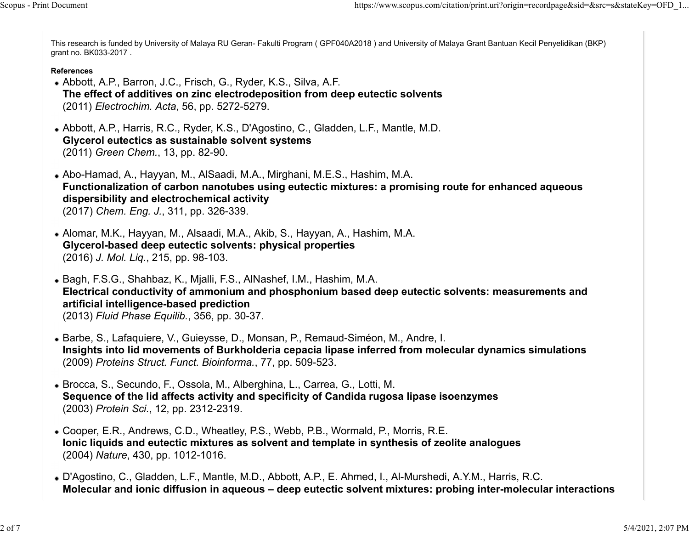This research is funded by University of Malaya RU Geran- Fakulti Program ( GPF040A2018 ) and University of Malaya Grant Bantuan Kecil Penyelidikan (BKP) grant no. BK033-2017 . Scopus - Print Document<br>This research is funded by University of Malaya RU Geran- Fakulti Program ( GPF040A2018 ) and University of Malaya Grant Bantuan Kecil Penyelidikan (BKP)<br>grant no. BK033-2017 .

## References

- Abbott, A.P., Barron, J.C., Frisch, G., Ryder, K.S., Silva, A.F. The effect of additives on zinc electrodeposition from deep eutectic solvents (2011) Electrochim. Acta, 56, pp. 5272-5279.
- Abbott, A.P., Harris, R.C., Ryder, K.S., D'Agostino, C., Gladden, L.F., Mantle, M.D. Glycerol eutectics as sustainable solvent systems (2011) Green Chem., 13, pp. 82-90.
- Abo-Hamad, A., Hayyan, M., AlSaadi, M.A., Mirghani, M.E.S., Hashim, M.A. Functionalization of carbon nanotubes using eutectic mixtures: a promising route for enhanced aqueous dispersibility and electrochemical activity (2017) Chem. Eng. J., 311, pp. 326-339.
- Alomar, M.K., Hayyan, M., Alsaadi, M.A., Akib, S., Hayyan, A., Hashim, M.A. Glycerol-based deep eutectic solvents: physical properties (2016) J. Mol. Liq., 215, pp. 98-103.
- Bagh, F.S.G., Shahbaz, K., Mjalli, F.S., AlNashef, I.M., Hashim, M.A. Electrical conductivity of ammonium and phosphonium based deep eutectic solvents: measurements and artificial intelligence-based prediction (2013) Fluid Phase Equilib., 356, pp. 30-37.
- Barbe, S., Lafaquiere, V., Guieysse, D., Monsan, P., Remaud-Siméon, M., Andre, I. Insights into lid movements of Burkholderia cepacia lipase inferred from molecular dynamics simulations (2009) Proteins Struct. Funct. Bioinforma., 77, pp. 509-523.
- Brocca, S., Secundo, F., Ossola, M., Alberghina, L., Carrea, G., Lotti, M. Sequence of the lid affects activity and specificity of Candida rugosa lipase isoenzymes (2003) Protein Sci., 12, pp. 2312-2319.
- Cooper, E.R., Andrews, C.D., Wheatley, P.S., Webb, P.B., Wormald, P., Morris, R.E. Ionic liquids and eutectic mixtures as solvent and template in synthesis of zeolite analogues (2004) Nature, 430, pp. 1012-1016.
- D'Agostino, C., Gladden, L.F., Mantle, M.D., Abbott, A.P., E. Ahmed, I., Al-Murshedi, A.Y.M., Harris, R.C. Molecular and ionic diffusion in aqueous – deep eutectic solvent mixtures: probing inter-molecular interactions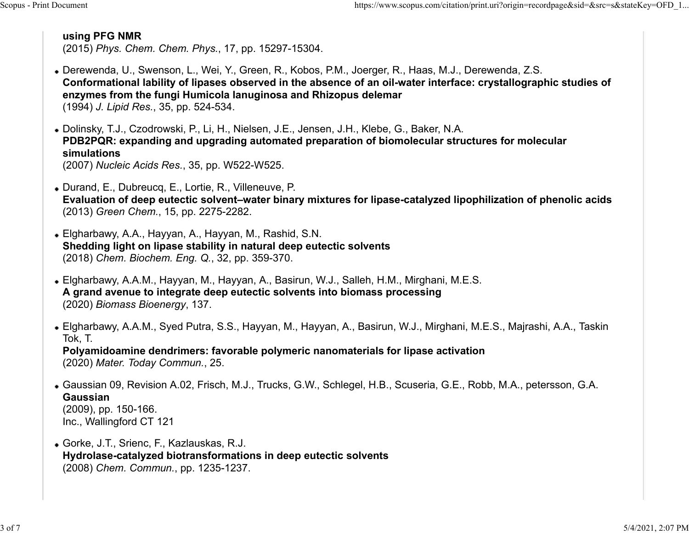# using PFG NMR

(2015) Phys. Chem. Chem. Phys., 17, pp. 15297-15304. Scopus - Print Document<br> **using PFG NMR**<br>
(2015) Phys. Chem. Chem. Phys., 17, pp. 15297-15304.

- Derewenda, U., Swenson, L., Wei, Y., Green, R., Kobos, P.M., Joerger, R., Haas, M.J., Derewenda, Z.S. Conformational lability of lipases observed in the absence of an oil-water interface: crystallographic studies of enzymes from the fungi Humicola lanuginosa and Rhizopus delemar (1994) J. Lipid Res., 35, pp. 524-534.
- Dolinsky, T.J., Czodrowski, P., Li, H., Nielsen, J.E., Jensen, J.H., Klebe, G., Baker, N.A. PDB2PQR: expanding and upgrading automated preparation of biomolecular structures for molecular simulations (2007) Nucleic Acids Res., 35, pp. W522-W525.
- Durand, E., Dubreucq, E., Lortie, R., Villeneuve, P. Evaluation of deep eutectic solvent–water binary mixtures for lipase-catalyzed lipophilization of phenolic acids (2013) Green Chem., 15, pp. 2275-2282.
- Elgharbawy, A.A., Hayyan, A., Hayyan, M., Rashid, S.N. Shedding light on lipase stability in natural deep eutectic solvents (2018) Chem. Biochem. Eng. Q., 32, pp. 359-370.
- Elgharbawy, A.A.M., Hayyan, M., Hayyan, A., Basirun, W.J., Salleh, H.M., Mirghani, M.E.S. A grand avenue to integrate deep eutectic solvents into biomass processing (2020) Biomass Bioenergy, 137.
- Elgharbawy, A.A.M., Syed Putra, S.S., Hayyan, M., Hayyan, A., Basirun, W.J., Mirghani, M.E.S., Majrashi, A.A., Taskin Tok, T.

Polyamidoamine dendrimers: favorable polymeric nanomaterials for lipase activation (2020) Mater. Today Commun., 25.

- Gaussian 09, Revision A.02, Frisch, M.J., Trucks, G.W., Schlegel, H.B., Scuseria, G.E., Robb, M.A., petersson, G.A. Gaussian (2009), pp. 150-166. Inc., Wallingford CT 121
- Gorke, J.T., Srienc, F., Kazlauskas, R.J. Hydrolase-catalyzed biotransformations in deep eutectic solvents (2008) Chem. Commun., pp. 1235-1237.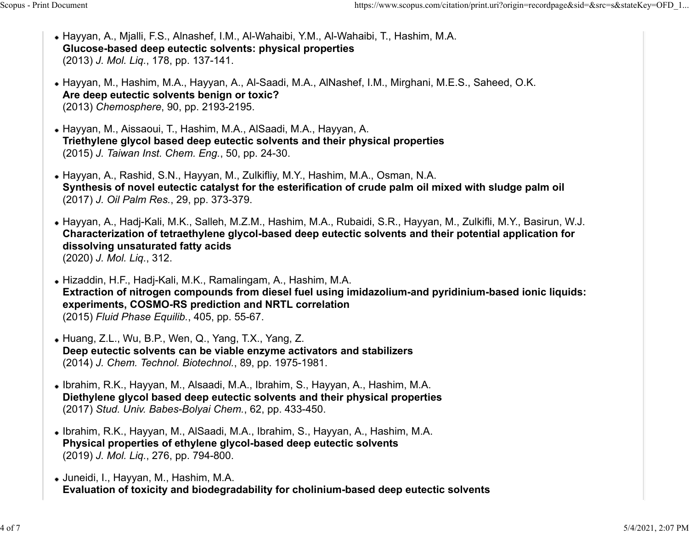- Hayyan, A., Mjalli, F.S., Alnashef, I.M., Al-Wahaibi, Y.M., Al-Wahaibi, T., Hashim, M.A. Glucose-based deep eutectic solvents: physical properties (2013) J. Mol. Liq., 178, pp. 137-141. Scopus - Print Document<br>• Hayyan, A., Mjalli, F.S., Alnashef, I.M., Al-Wahaibi, Y.M., Al-Wahaibi, T., Hashim, M.A.<br>• Hayyan, A., Mjalli, F.S., Alnashef, I.M., Al-Wahaibi, Y.M., Al-Wahaibi, T., Hashim, M.A.<br>• Glucose-based
	- Hayyan, M., Hashim, M.A., Hayyan, A., Al-Saadi, M.A., AlNashef, I.M., Mirghani, M.E.S., Saheed, O.K. Are deep eutectic solvents benign or toxic? (2013) Chemosphere, 90, pp. 2193-2195.
	- Hayyan, M., Aissaoui, T., Hashim, M.A., AlSaadi, M.A., Hayyan, A. Triethylene glycol based deep eutectic solvents and their physical properties (2015) J. Taiwan Inst. Chem. Eng., 50, pp. 24-30.
	- Hayyan, A., Rashid, S.N., Hayyan, M., Zulkifliy, M.Y., Hashim, M.A., Osman, N.A. Synthesis of novel eutectic catalyst for the esterification of crude palm oil mixed with sludge palm oil (2017) J. Oil Palm Res., 29, pp. 373-379.
	- Hayyan, A., Hadj-Kali, M.K., Salleh, M.Z.M., Hashim, M.A., Rubaidi, S.R., Hayyan, M., Zulkifli, M.Y., Basirun, W.J. Characterization of tetraethylene glycol-based deep eutectic solvents and their potential application for dissolving unsaturated fatty acids (2020) J. Mol. Liq., 312.
	- Hizaddin, H.F., Hadj-Kali, M.K., Ramalingam, A., Hashim, M.A. Extraction of nitrogen compounds from diesel fuel using imidazolium-and pyridinium-based ionic liquids: experiments, COSMO-RS prediction and NRTL correlation (2015) Fluid Phase Equilib., 405, pp. 55-67.
	- Huang, Z.L., Wu, B.P., Wen, Q., Yang, T.X., Yang, Z. Deep eutectic solvents can be viable enzyme activators and stabilizers (2014) J. Chem. Technol. Biotechnol., 89, pp. 1975-1981.
	- Ibrahim, R.K., Hayyan, M., Alsaadi, M.A., Ibrahim, S., Hayyan, A., Hashim, M.A. Diethylene glycol based deep eutectic solvents and their physical properties (2017) Stud. Univ. Babes-Bolyai Chem., 62, pp. 433-450.
	- Ibrahim, R.K., Hayyan, M., AlSaadi, M.A., Ibrahim, S., Hayyan, A., Hashim, M.A. Physical properties of ethylene glycol-based deep eutectic solvents (2019) J. Mol. Liq., 276, pp. 794-800.
	- Juneidi, I., Hayyan, M., Hashim, M.A. Evaluation of toxicity and biodegradability for cholinium-based deep eutectic solvents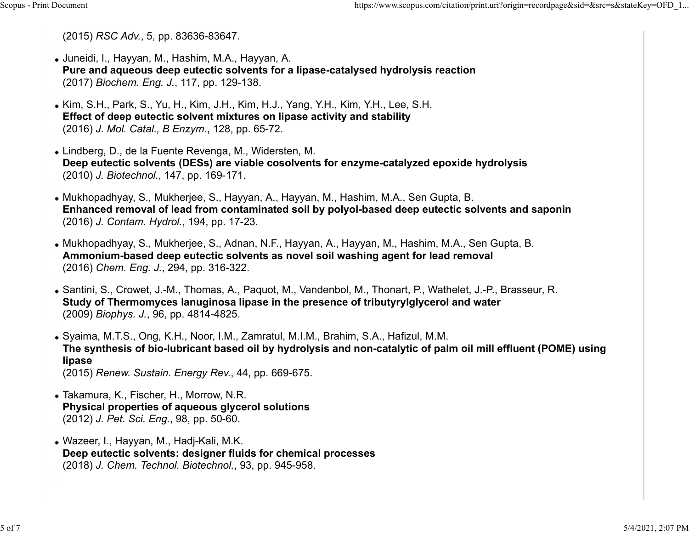(2015) RSC Adv., 5, pp. 83636-83647.

- Juneidi, I., Hayyan, M., Hashim, M.A., Hayyan, A. Pure and aqueous deep eutectic solvents for a lipase-catalysed hydrolysis reaction (2017) Biochem. Eng. J., 117, pp. 129-138. Scopus - Print Document https://www.scopus.com/citation/print.uri?origin=recordpage&sid=&src=s&stateKey=OFD\_1...<br>
(2015) RSC Adv., 5, pp. 83636-83647.<br>
• Juneidi, I., Hayyan, M., Hashim, M.A., Hayyan, A.
	- Kim, S.H., Park, S., Yu, H., Kim, J.H., Kim, H.J., Yang, Y.H., Kim, Y.H., Lee, S.H. Effect of deep eutectic solvent mixtures on lipase activity and stability (2016) J. Mol. Catal., B Enzym., 128, pp. 65-72.
	- Lindberg, D., de la Fuente Revenga, M., Widersten, M. Deep eutectic solvents (DESs) are viable cosolvents for enzyme-catalyzed epoxide hydrolysis (2010) J. Biotechnol., 147, pp. 169-171.
	- Mukhopadhyay, S., Mukherjee, S., Hayyan, A., Hayyan, M., Hashim, M.A., Sen Gupta, B. Enhanced removal of lead from contaminated soil by polyol-based deep eutectic solvents and saponin (2016) J. Contam. Hydrol., 194, pp. 17-23.
	- Mukhopadhyay, S., Mukherjee, S., Adnan, N.F., Hayyan, A., Hayyan, M., Hashim, M.A., Sen Gupta, B. Ammonium-based deep eutectic solvents as novel soil washing agent for lead removal (2016) Chem. Eng. J., 294, pp. 316-322.
	- Santini, S., Crowet, J.-M., Thomas, A., Paquot, M., Vandenbol, M., Thonart, P., Wathelet, J.-P., Brasseur, R. Study of Thermomyces lanuginosa lipase in the presence of tributyrylglycerol and water (2009) Biophys. J., 96, pp. 4814-4825.
	- Syaima, M.T.S., Ong, K.H., Noor, I.M., Zamratul, M.I.M., Brahim, S.A., Hafizul, M.M. The synthesis of bio-lubricant based oil by hydrolysis and non-catalytic of palm oil mill effluent (POME) using lipase (2015) Renew. Sustain. Energy Rev., 44, pp. 669-675.
	- Takamura, K., Fischer, H., Morrow, N.R. Physical properties of aqueous glycerol solutions (2012) J. Pet. Sci. Eng., 98, pp. 50-60.
	- Wazeer, I., Hayyan, M., Hadj-Kali, M.K. Deep eutectic solvents: designer fluids for chemical processes (2018) J. Chem. Technol. Biotechnol., 93, pp. 945-958.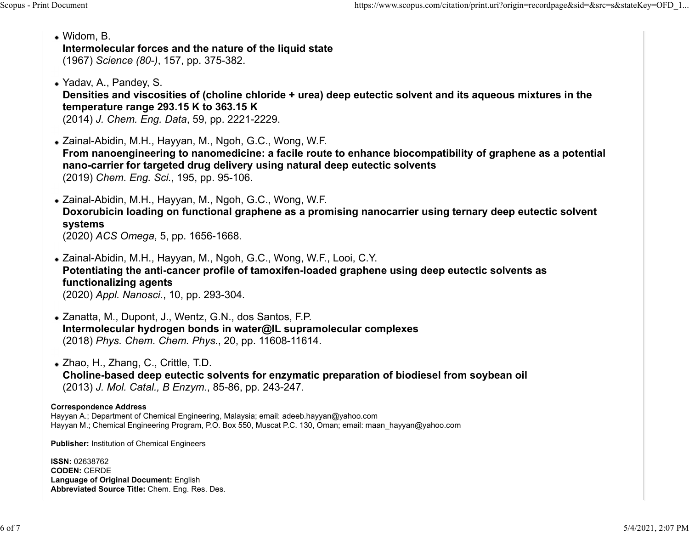- Widom, B. Intermolecular forces and the nature of the liquid state (1967) Science (80-), 157, pp. 375-382. Scopus - Print Document<br>
• Widom, B.<br>
• Widom, B.<br>
1967) Science (80-) 157 pp 375-382
	- Yadav, A., Pandey, S.

Densities and viscosities of (choline chloride + urea) deep eutectic solvent and its aqueous mixtures in the temperature range 293.15 K to 363.15 K

(2014) J. Chem. Eng. Data, 59, pp. 2221-2229.

Zainal-Abidin, M.H., Hayyan, M., Ngoh, G.C., Wong, W.F. From nanoengineering to nanomedicine: a facile route to enhance biocompatibility of graphene as a potential nano-carrier for targeted drug delivery using natural deep eutectic solvents (2019) Chem. Eng. Sci., 195, pp. 95-106.

Zainal-Abidin, M.H., Hayyan, M., Ngoh, G.C., Wong, W.F. Doxorubicin loading on functional graphene as a promising nanocarrier using ternary deep eutectic solvent systems (2020) ACS Omega, 5, pp. 1656-1668.

- Zainal-Abidin, M.H., Hayyan, M., Ngoh, G.C., Wong, W.F., Looi, C.Y. Potentiating the anti-cancer profile of tamoxifen-loaded graphene using deep eutectic solvents as functionalizing agents (2020) Appl. Nanosci., 10, pp. 293-304.
- Zanatta, M., Dupont, J., Wentz, G.N., dos Santos, F.P. Intermolecular hydrogen bonds in water@IL supramolecular complexes (2018) Phys. Chem. Chem. Phys., 20, pp. 11608-11614.

Zhao, H., Zhang, C., Crittle, T.D. Choline-based deep eutectic solvents for enzymatic preparation of biodiesel from soybean oil (2013) J. Mol. Catal., B Enzym., 85-86, pp. 243-247.

# Correspondence Address

Hayyan A.; Department of Chemical Engineering, Malaysia; email: adeeb.hayyan@yahoo.com Hayyan M.; Chemical Engineering Program, P.O. Box 550, Muscat P.C. 130, Oman; email: maan hayyan@yahoo.com

Publisher: Institution of Chemical Engineers

ISSN: 02638762 CODEN: CERDE Language of Original Document: English Abbreviated Source Title: Chem. Eng. Res. Des.